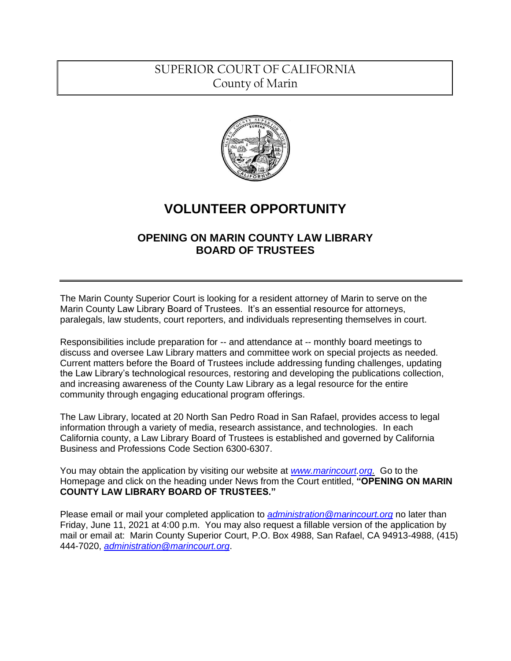## SUPERIOR COURT OF CALIFORNIA County of Marin



# **VOLUNTEER OPPORTUNITY**

### **OPENING ON MARIN COUNTY LAW LIBRARY BOARD OF TRUSTEES**

The Marin County Superior Court is looking for a resident attorney of Marin to serve on the Marin County Law Library Board of Trustees. It's an essential resource for attorneys, paralegals, law students, court reporters, and individuals representing themselves in court.

Responsibilities include preparation for -- and attendance at -- monthly board meetings to discuss and oversee Law Library matters and committee work on special projects as needed. Current matters before the Board of Trustees include addressing funding challenges, updating the Law Library's technological resources, restoring and developing the publications collection, and increasing awareness of the County Law Library as a legal resource for the entire community through engaging educational program offerings.

The Law Library, located at 20 North San Pedro Road in San Rafael, provides access to legal information through a variety of media, research assistance, and technologies. In each California county, a Law Library Board of Trustees is established and governed by California Business and Professions Code Section 6300-6307.

You may obtain the application by visiting our website at *[www.marincourt.](http://www.marincourt/)org.* Go to the Homepage and click on the heading under News from the Court entitled, **"OPENING ON MARIN COUNTY LAW LIBRARY BOARD OF TRUSTEES."**

Please email or mail your completed application to *[administration@marincourt.org](mailto:administration@marincourt.org)* no later than Friday, June 11, 2021 at 4:00 p.m. You may also request a fillable version of the application by mail or email at: Marin County Superior Court, P.O. Box 4988, San Rafael, CA 94913-4988, (415) 444-7020, *[administration@marincourt.org](mailto:administration@marincourt.org)*.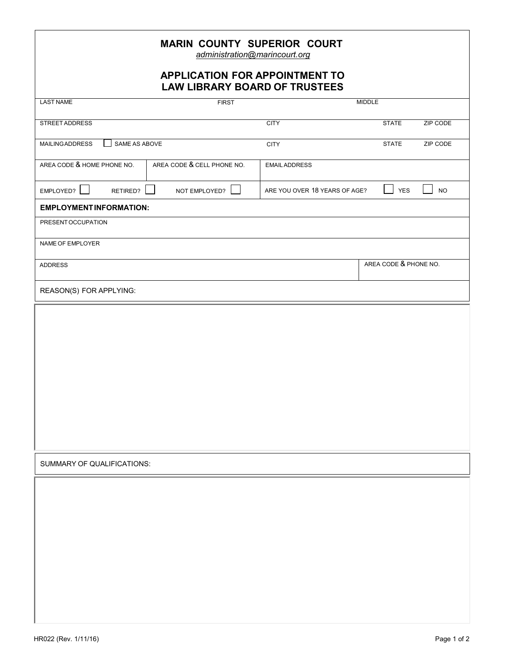| <b>MARIN COUNTY SUPERIOR COURT</b><br>administration@marincourt.org           |                            |                               |                          |
|-------------------------------------------------------------------------------|----------------------------|-------------------------------|--------------------------|
| <b>APPLICATION FOR APPOINTMENT TO</b><br><b>LAW LIBRARY BOARD OF TRUSTEES</b> |                            |                               |                          |
| <b>LAST NAME</b>                                                              | <b>FIRST</b>               |                               | <b>MIDDLE</b>            |
| STREET ADDRESS                                                                |                            | <b>CITY</b>                   | <b>STATE</b><br>ZIP CODE |
| SAME AS ABOVE<br><b>MAILING ADDRESS</b>                                       |                            | <b>CITY</b>                   | ZIP CODE<br><b>STATE</b> |
| AREA CODE & HOME PHONE NO.                                                    | AREA CODE & CELL PHONE NO. | <b>EMAIL ADDRESS</b>          |                          |
| EMPLOYED?<br>RETIRED?                                                         | NOT EMPLOYED?              | ARE YOU OVER 18 YEARS OF AGE? | <b>YES</b><br><b>NO</b>  |
| <b>EMPLOYMENT INFORMATION:</b>                                                |                            |                               |                          |
| PRESENT OCCUPATION                                                            |                            |                               |                          |
| NAME OF EMPLOYER                                                              |                            |                               |                          |
| <b>ADDRESS</b>                                                                |                            |                               | AREA CODE & PHONE NO.    |
| REASON(S) FOR APPLYING:                                                       |                            |                               |                          |
|                                                                               |                            |                               |                          |
|                                                                               |                            |                               |                          |
|                                                                               |                            |                               |                          |
|                                                                               |                            |                               |                          |
|                                                                               |                            |                               |                          |
|                                                                               |                            |                               |                          |
|                                                                               |                            |                               |                          |
|                                                                               |                            |                               |                          |
| SUMMARY OF QUALIFICATIONS:                                                    |                            |                               |                          |
|                                                                               |                            |                               |                          |
|                                                                               |                            |                               |                          |
|                                                                               |                            |                               |                          |
|                                                                               |                            |                               |                          |
|                                                                               |                            |                               |                          |
|                                                                               |                            |                               |                          |
|                                                                               |                            |                               |                          |
|                                                                               |                            |                               |                          |